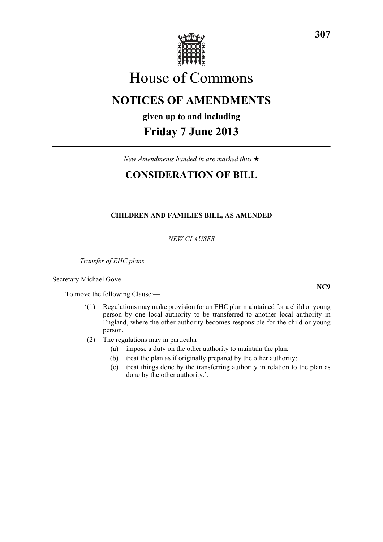

# House of Commons

# **NOTICES OF AMENDMENTS**

## **given up to and including**

# **Friday 7 June 2013**

*New Amendments handed in are marked thus* \*

# **CONSIDERATION OF BILL**

### **CHILDREN AND FAMILIES BILL, AS AMENDED**

*NEW CLAUSES*

*Transfer of EHC plans*

Secretary Michael Gove

To move the following Clause:—

- '(1) Regulations may make provision for an EHC plan maintained for a child or young person by one local authority to be transferred to another local authority in England, where the other authority becomes responsible for the child or young person.
- (2) The regulations may in particular—
	- (a) impose a duty on the other authority to maintain the plan;
	- (b) treat the plan as if originally prepared by the other authority;
	- (c) treat things done by the transferring authority in relation to the plan as done by the other authority.'.

**307**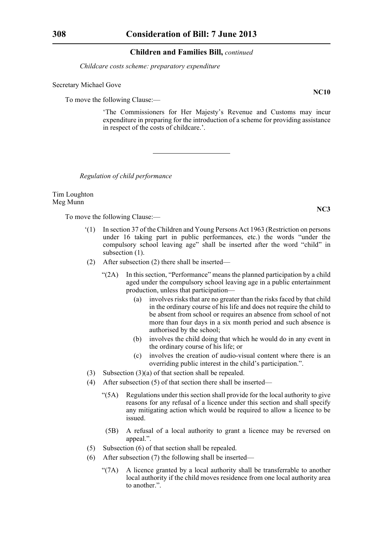*Childcare costs scheme: preparatory expenditure*

### Secretary Michael Gove

To move the following Clause:—

'The Commissioners for Her Majesty's Revenue and Customs may incur expenditure in preparing for the introduction of a scheme for providing assistance in respect of the costs of childcare.'.

*Regulation of child performance*

Tim Loughton Meg Munn

To move the following Clause:—

- '(1) In section 37 of the Children and Young Persons Act 1963 (Restriction on persons under 16 taking part in public performances, etc.) the words "under the compulsory school leaving age" shall be inserted after the word "child" in subsection  $(1)$ .
- (2) After subsection (2) there shall be inserted—
	- "(2A) In this section, "Performance" means the planned participation by a child aged under the compulsory school leaving age in a public entertainment production, unless that participation—
		- (a) involves risks that are no greater than the risks faced by that child in the ordinary course of his life and does not require the child to be absent from school or requires an absence from school of not more than four days in a six month period and such absence is authorised by the school;
		- (b) involves the child doing that which he would do in any event in the ordinary course of his life; or
		- (c) involves the creation of audio-visual content where there is an overriding public interest in the child's participation.".
- (3) Subsection (3)(a) of that section shall be repealed.
- (4) After subsection (5) of that section there shall be inserted—
	- "(5A) Regulations under this section shall provide for the local authority to give reasons for any refusal of a licence under this section and shall specify any mitigating action which would be required to allow a licence to be issued.
	- (5B) A refusal of a local authority to grant a licence may be reversed on appeal.".
- (5) Subsection (6) of that section shall be repealed.
- (6) After subsection (7) the following shall be inserted—
	- "(7A) A licence granted by a local authority shall be transferrable to another local authority if the child moves residence from one local authority area to another.".

**NC10**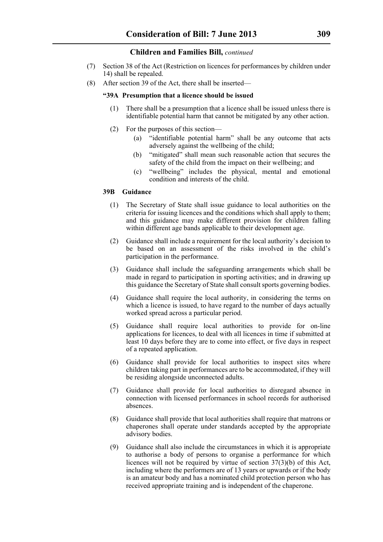- (7) Section 38 of the Act (Restriction on licences for performances by children under 14) shall be repealed.
- (8) After section 39 of the Act, there shall be inserted—

### **"39A Presumption that a licence should be issued**

- (1) There shall be a presumption that a licence shall be issued unless there is identifiable potential harm that cannot be mitigated by any other action.
- (2) For the purposes of this section—
	- (a) "identifiable potential harm" shall be any outcome that acts adversely against the wellbeing of the child;
	- (b) "mitigated" shall mean such reasonable action that secures the safety of the child from the impact on their wellbeing; and
	- (c) "wellbeing" includes the physical, mental and emotional condition and interests of the child.

### **39B Guidance**

- (1) The Secretary of State shall issue guidance to local authorities on the criteria for issuing licences and the conditions which shall apply to them; and this guidance may make different provision for children falling within different age bands applicable to their development age.
- (2) Guidance shall include a requirement for the local authority's decision to be based on an assessment of the risks involved in the child's participation in the performance.
- (3) Guidance shall include the safeguarding arrangements which shall be made in regard to participation in sporting activities; and in drawing up this guidance the Secretary of State shall consult sports governing bodies.
- (4) Guidance shall require the local authority, in considering the terms on which a licence is issued, to have regard to the number of days actually worked spread across a particular period.
- (5) Guidance shall require local authorities to provide for on-line applications for licences, to deal with all licences in time if submitted at least 10 days before they are to come into effect, or five days in respect of a repeated application.
- (6) Guidance shall provide for local authorities to inspect sites where children taking part in performances are to be accommodated, if they will be residing alongside unconnected adults.
- (7) Guidance shall provide for local authorities to disregard absence in connection with licensed performances in school records for authorised absences.
- (8) Guidance shall provide that local authorities shall require that matrons or chaperones shall operate under standards accepted by the appropriate advisory bodies.
- (9) Guidance shall also include the circumstances in which it is appropriate to authorise a body of persons to organise a performance for which licences will not be required by virtue of section 37(3)(b) of this Act, including where the performers are of 13 years or upwards or if the body is an amateur body and has a nominated child protection person who has received appropriate training and is independent of the chaperone.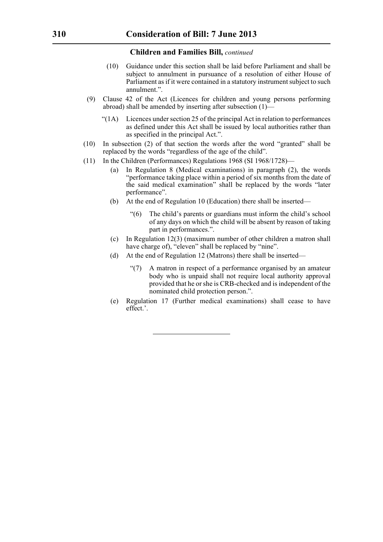- (10) Guidance under this section shall be laid before Parliament and shall be subject to annulment in pursuance of a resolution of either House of Parliament as if it were contained in a statutory instrument subject to such annulment."
- (9) Clause 42 of the Act (Licences for children and young persons performing abroad) shall be amended by inserting after subsection (1)—
	- $\text{``(1A)}$  Licences under section 25 of the principal Act in relation to performances as defined under this Act shall be issued by local authorities rather than as specified in the principal Act.".
- (10) In subsection (2) of that section the words after the word "granted" shall be replaced by the words "regardless of the age of the child".
- (11) In the Children (Performances) Regulations 1968 (SI 1968/1728)—
	- (a) In Regulation 8 (Medical examinations) in paragraph (2), the words "performance taking place within a period of six months from the date of the said medical examination" shall be replaced by the words "later performance".
	- (b) At the end of Regulation 10 (Education) there shall be inserted—
		- "(6) The child's parents or guardians must inform the child's school of any days on which the child will be absent by reason of taking part in performances.".
	- (c) In Regulation 12(3) (maximum number of other children a matron shall have charge of), "eleven" shall be replaced by "nine".
	- (d) At the end of Regulation 12 (Matrons) there shall be inserted—
		- "(7) A matron in respect of a performance organised by an amateur body who is unpaid shall not require local authority approval provided that he or she is CRB-checked and is independent of the nominated child protection person.".
	- (e) Regulation 17 (Further medical examinations) shall cease to have effect.'.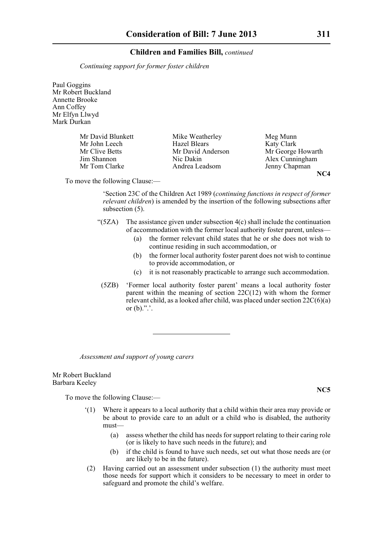*Continuing support for former foster children*

Paul Goggins Mr Robert Buckland Annette Brooke Ann Coffey Mr Elfyn Llwyd Mark Durkan

Mr John Leech Hazel Blears

Mr David Blunkett Mike Weatherley Meg Munn<br>Mr John Leech Hazel Blears Katy Clark Nic Dakin Alex Cunningham Mr Tom Clarke Andrea Leadsom Jenny Chapman

Mr Clive Betts Mr David Anderson Mr George Howarth<br>
Jim Shannon Mic Dakin Alex Cunningham **NC4**

To move the following Clause:—

'Section 23C of the Children Act 1989 (*continuing functions in respect of former relevant children*) is amended by the insertion of the following subsections after subsection  $(5)$ .

- " $(5ZA)$  The assistance given under subsection  $4(c)$  shall include the continuation of accommodation with the former local authority foster parent, unless—
	- (a) the former relevant child states that he or she does not wish to continue residing in such accommodation, or
	- (b) the former local authority foster parent does not wish to continue to provide accommodation, or
	- (c) it is not reasonably practicable to arrange such accommodation.
- (5ZB) 'Former local authority foster parent' means a local authority foster parent within the meaning of section 22C(12) with whom the former relevant child, as a looked after child, was placed under section  $22C(6)(a)$ or  $(b)$ .".'.

*Assessment and support of young carers*

Mr Robert Buckland Barbara Keeley

To move the following Clause:—

- Where it appears to a local authority that a child within their area may provide or be about to provide care to an adult or a child who is disabled, the authority must—
	- (a) assess whether the child has needs for support relating to their caring role (or is likely to have such needs in the future); and
	- (b) if the child is found to have such needs, set out what those needs are (or are likely to be in the future).
- (2) Having carried out an assessment under subsection (1) the authority must meet those needs for support which it considers to be necessary to meet in order to safeguard and promote the child's welfare.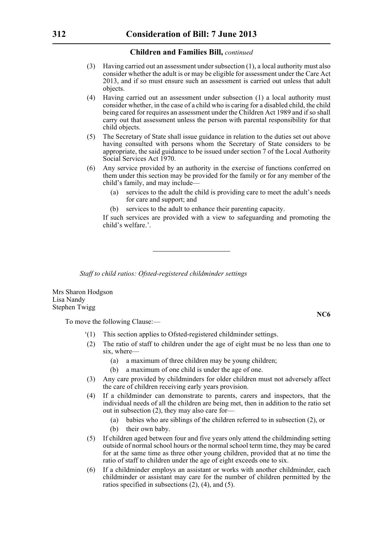- (3) Having carried out an assessment under subsection (1), a local authority must also consider whether the adult is or may be eligible for assessment under the Care Act 2013, and if so must ensure such an assessment is carried out unless that adult objects.
- (4) Having carried out an assessment under subsection (1) a local authority must consider whether, in the case of a child who is caring for a disabled child, the child being cared for requires an assessment under the Children Act 1989 and if so shall carry out that assessment unless the person with parental responsibility for that child objects.
- (5) The Secretary of State shall issue guidance in relation to the duties set out above having consulted with persons whom the Secretary of State considers to be appropriate, the said guidance to be issued under section 7 of the Local Authority Social Services Act 1970.
- (6) Any service provided by an authority in the exercise of functions conferred on them under this section may be provided for the family or for any member of the child's family, and may include—
	- (a) services to the adult the child is providing care to meet the adult's needs for care and support; and
	- (b) services to the adult to enhance their parenting capacity.

If such services are provided with a view to safeguarding and promoting the child's welfare.'

*Staff to child ratios: Ofsted-registered childminder settings*

Mrs Sharon Hodgson Lisa Nandy Stephen Twigg

To move the following Clause:—

- '(1) This section applies to Ofsted-registered childminder settings.
- (2) The ratio of staff to children under the age of eight must be no less than one to six, where—
	- (a) a maximum of three children may be young children;
	- (b) a maximum of one child is under the age of one.
- (3) Any care provided by childminders for older children must not adversely affect the care of children receiving early years provision.
- (4) If a childminder can demonstrate to parents, carers and inspectors, that the individual needs of all the children are being met, then in addition to the ratio set out in subsection (2), they may also care for—
	- (a) babies who are siblings of the children referred to in subsection (2), or
	- (b) their own baby.
- (5) If children aged between four and five years only attend the childminding setting outside of normal school hours or the normal school term time, they may be cared for at the same time as three other young children, provided that at no time the ratio of staff to children under the age of eight exceeds one to six.
- (6) If a childminder employs an assistant or works with another childminder, each childminder or assistant may care for the number of children permitted by the ratios specified in subsections (2), (4), and (5).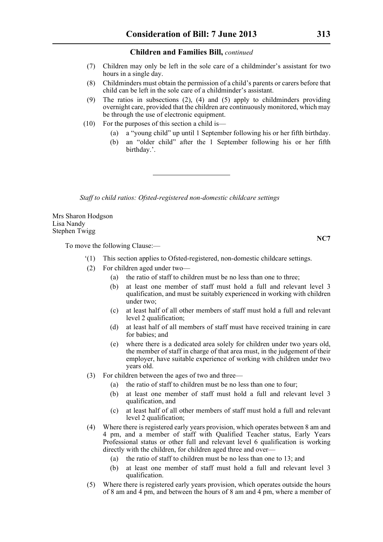- (7) Children may only be left in the sole care of a childminder's assistant for two hours in a single day.
- (8) Childminders must obtain the permission of a child's parents or carers before that child can be left in the sole care of a childminder's assistant.
- (9) The ratios in subsections  $(2)$ ,  $(4)$  and  $(5)$  apply to childminders providing overnight care, provided that the children are continuously monitored, which may be through the use of electronic equipment.
- (10) For the purposes of this section a child is—
	- (a) a "young child" up until 1 September following his or her fifth birthday.
	- (b) an "older child" after the 1 September following his or her fifth birthday.'.

*Staff to child ratios: Ofsted-registered non-domestic childcare settings*

Mrs Sharon Hodgson Lisa Nandy Stephen Twigg

To move the following Clause:—

- '(1) This section applies to Ofsted-registered, non-domestic childcare settings.
- (2) For children aged under two—
	- (a) the ratio of staff to children must be no less than one to three;
	- (b) at least one member of staff must hold a full and relevant level 3 qualification, and must be suitably experienced in working with children under two;
	- (c) at least half of all other members of staff must hold a full and relevant level 2 qualification;
	- (d) at least half of all members of staff must have received training in care for babies; and
	- (e) where there is a dedicated area solely for children under two years old, the member of staff in charge of that area must, in the judgement of their employer, have suitable experience of working with children under two years old.
- (3) For children between the ages of two and three—
	- (a) the ratio of staff to children must be no less than one to four;
	- (b) at least one member of staff must hold a full and relevant level 3 qualification, and
	- (c) at least half of all other members of staff must hold a full and relevant level 2 qualification;
- (4) Where there is registered early years provision, which operates between 8 am and 4 pm, and a member of staff with Qualified Teacher status, Early Years Professional status or other full and relevant level 6 qualification is working directly with the children, for children aged three and over—
	- (a) the ratio of staff to children must be no less than one to 13; and
	- (b) at least one member of staff must hold a full and relevant level 3 qualification.
- (5) Where there is registered early years provision, which operates outside the hours of 8 am and 4 pm, and between the hours of 8 am and 4 pm, where a member of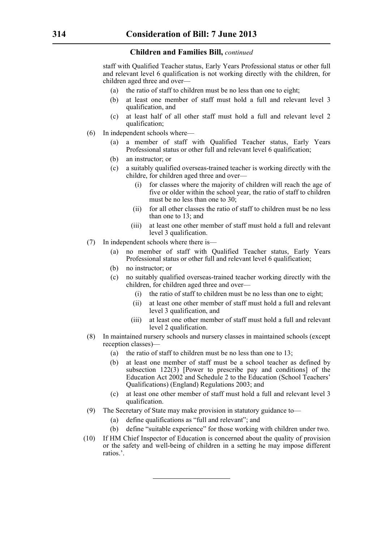staff with Qualified Teacher status, Early Years Professional status or other full and relevant level 6 qualification is not working directly with the children, for children aged three and over—

- (a) the ratio of staff to children must be no less than one to eight;
- (b) at least one member of staff must hold a full and relevant level 3 qualification, and
- (c) at least half of all other staff must hold a full and relevant level 2 qualification;
- (6) In independent schools where—
	- (a) a member of staff with Qualified Teacher status, Early Years Professional status or other full and relevant level 6 qualification;
	- (b) an instructor; or
	- (c) a suitably qualified overseas-trained teacher is working directly with the childre, for children aged three and over—
		- (i) for classes where the majority of children will reach the age of five or older within the school year, the ratio of staff to children must be no less than one to 30;
		- (ii) for all other classes the ratio of staff to children must be no less than one to 13; and
		- (iii) at least one other member of staff must hold a full and relevant level 3 qualification.
- (7) In independent schools where there is—
	- (a) no member of staff with Qualified Teacher status, Early Years Professional status or other full and relevant level 6 qualification;
	- (b) no instructor; or
	- (c) no suitably qualified overseas-trained teacher working directly with the children, for children aged three and over
		- the ratio of staff to children must be no less than one to eight;
		- (ii) at least one other member of staff must hold a full and relevant level 3 qualification, and
		- (iii) at least one other member of staff must hold a full and relevant level 2 qualification.
- (8) In maintained nursery schools and nursery classes in maintained schools (except reception classes)—
	- (a) the ratio of staff to children must be no less than one to 13;
	- (b) at least one member of staff must be a school teacher as defined by subsection 122(3) [Power to prescribe pay and conditions] of the Education Act 2002 and Schedule 2 to the Education (School Teachers' Qualifications) (England) Regulations 2003; and
	- (c) at least one other member of staff must hold a full and relevant level 3 qualification.
- (9) The Secretary of State may make provision in statutory guidance to—
	- (a) define qualifications as "full and relevant"; and
	- (b) define "suitable experience" for those working with children under two.
- (10) If HM Chief Inspector of Education is concerned about the quality of provision or the safety and well-being of children in a setting he may impose different ratios.'.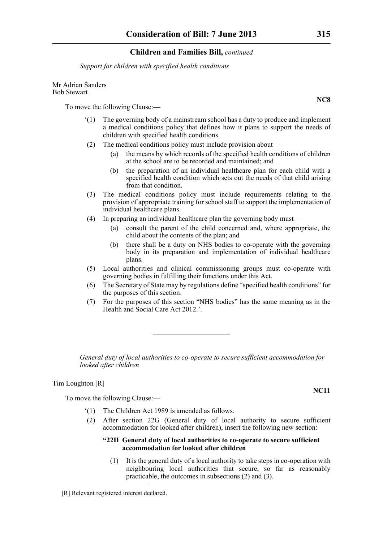*Support for children with specified health conditions*

#### Mr Adrian Sanders Bob Stewart

To move the following Clause:—

- '(1) The governing body of a mainstream school has a duty to produce and implement a medical conditions policy that defines how it plans to support the needs of children with specified health conditions.
- (2) The medical conditions policy must include provision about—
	- (a) the means by which records of the specified health conditions of children at the school are to be recorded and maintained; and
	- (b) the preparation of an individual healthcare plan for each child with a specified health condition which sets out the needs of that child arising from that condition.
- (3) The medical conditions policy must include requirements relating to the provision of appropriate training for school staff to support the implementation of individual healthcare plans.
- (4) In preparing an individual healthcare plan the governing body must—
	- (a) consult the parent of the child concerned and, where appropriate, the child about the contents of the plan; and
	- (b) there shall be a duty on NHS bodies to co-operate with the governing body in its preparation and implementation of individual healthcare plans.
- (5) Local authorities and clinical commissioning groups must co-operate with governing bodies in fulfilling their functions under this Act.
- (6) The Secretary of State may by regulations define "specified health conditions" for the purposes of this section.
- (7) For the purposes of this section "NHS bodies" has the same meaning as in the Health and Social Care Act 2012.'.

*General duty of local authorities to co-operate to secure sufficient accommodation for looked after children*

### Tim Loughton [R]

To move the following Clause:—

- '(1) The Children Act 1989 is amended as follows.
- (2) After section 22G (General duty of local authority to secure sufficient accommodation for looked after children), insert the following new section:

### **"22H General duty of local authorities to co-operate to secure sufficient accommodation for looked after children**

(1) It is the general duty of a local authority to take steps in co-operation with neighbouring local authorities that secure, so far as reasonably practicable, the outcomes in subsections (2) and (3).

### **NC11**

<sup>[</sup>R] Relevant registered interest declared.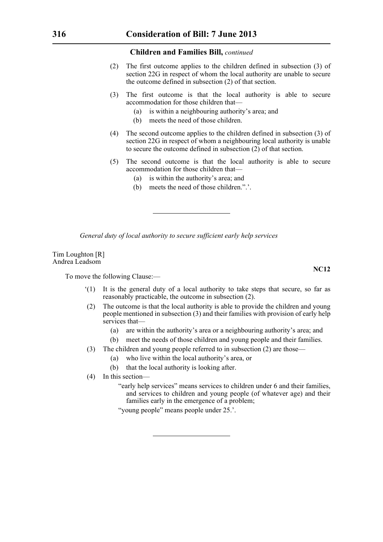- (2) The first outcome applies to the children defined in subsection (3) of section 22G in respect of whom the local authority are unable to secure the outcome defined in subsection (2) of that section.
- (3) The first outcome is that the local authority is able to secure accommodation for those children that—
	- (a) is within a neighbouring authority's area; and
	- (b) meets the need of those children.
- (4) The second outcome applies to the children defined in subsection (3) of section 22G in respect of whom a neighbouring local authority is unable to secure the outcome defined in subsection (2) of that section.
- (5) The second outcome is that the local authority is able to secure accommodation for those children that—
	- (a) is within the authority's area; and
	- (b) meets the need of those children.".'.

*General duty of local authority to secure sufficient early help services*

Tim Loughton [R] Andrea Leadsom

To move the following Clause:—

- '(1) It is the general duty of a local authority to take steps that secure, so far as reasonably practicable, the outcome in subsection (2).
- (2) The outcome is that the local authority is able to provide the children and young people mentioned in subsection (3) and their families with provision of early help services that—
	- (a) are within the authority's area or a neighbouring authority's area; and
	- (b) meet the needs of those children and young people and their families.
- (3) The children and young people referred to in subsection (2) are those—
	- (a) who live within the local authority's area, or
		- (b) that the local authority is looking after.
- (4) In this section—
	- "early help services" means services to children under 6 and their families, and services to children and young people (of whatever age) and their families early in the emergence of a problem;

"young people" means people under 25.'.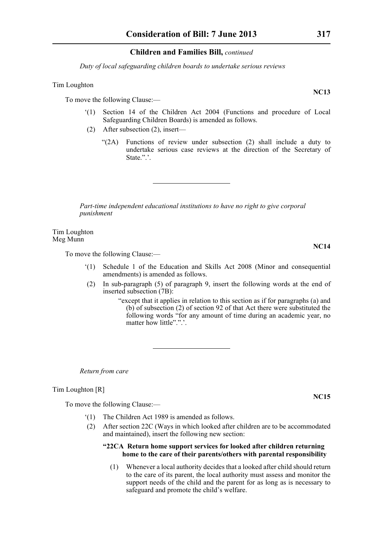*Duty of local safeguarding children boards to undertake serious reviews*

### Tim Loughton

To move the following Clause:—

- '(1) Section 14 of the Children Act 2004 (Functions and procedure of Local Safeguarding Children Boards) is amended as follows.
- (2) After subsection (2), insert—
	- "(2A) Functions of review under subsection (2) shall include a duty to undertake serious case reviews at the direction of the Secretary of State.".'.

*Part-time independent educational institutions to have no right to give corporal punishment*

Tim Loughton Meg Munn

To move the following Clause:—

- '(1) Schedule 1 of the Education and Skills Act 2008 (Minor and consequential amendments) is amended as follows.
- (2) In sub-paragraph (5) of paragraph 9, insert the following words at the end of inserted subsection (7B):
	- "except that it applies in relation to this section as if for paragraphs (a) and (b) of subsection (2) of section 92 of that Act there were substituted the following words "for any amount of time during an academic year, no matter how little".".'.

*Return from care*

Tim Loughton [R]

To move the following Clause:—

- '(1) The Children Act 1989 is amended as follows.
- (2) After section 22C (Ways in which looked after children are to be accommodated and maintained), insert the following new section:

### **"22CA Return home support services for looked after children returning home to the care of their parents/others with parental responsibility**

(1) Whenever a local authority decides that a looked after child should return to the care of its parent, the local authority must assess and monitor the support needs of the child and the parent for as long as is necessary to safeguard and promote the child's welfare.

**NC13**

**NC14**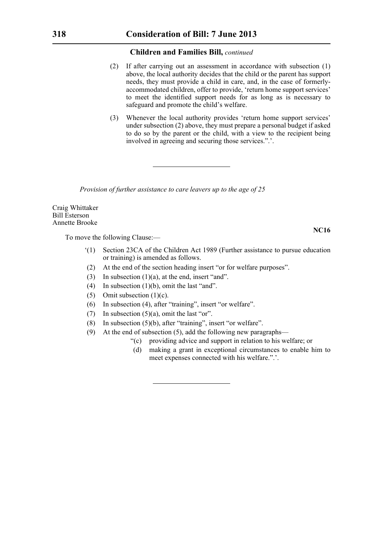- (2) If after carrying out an assessment in accordance with subsection (1) above, the local authority decides that the child or the parent has support needs, they must provide a child in care, and, in the case of formerlyaccommodated children, offer to provide, 'return home support services' to meet the identified support needs for as long as is necessary to safeguard and promote the child's welfare.
- (3) Whenever the local authority provides 'return home support services' under subsection (2) above, they must prepare a personal budget if asked to do so by the parent or the child, with a view to the recipient being involved in agreeing and securing those services.".'.

*Provision of further assistance to care leavers up to the age of 25*

Craig Whittaker Bill Esterson Annette Brooke

To move the following Clause:—

- '(1) Section 23CA of the Children Act 1989 (Further assistance to pursue education or training) is amended as follows.
- (2) At the end of the section heading insert "or for welfare purposes".
- (3) In subsection  $(1)(a)$ , at the end, insert "and".
- (4) In subsection (1)(b), omit the last "and".
- (5) Omit subsection  $(1)(c)$ .
- (6) In subsection (4), after "training", insert "or welfare".
- (7) In subsection  $(5)(a)$ , omit the last "or".
- (8) In subsection (5)(b), after "training", insert "or welfare".
- (9) At the end of subsection (5), add the following new paragraphs—
	- "(c) providing advice and support in relation to his welfare; or
	- (d) making a grant in exceptional circumstances to enable him to meet expenses connected with his welfare.".'.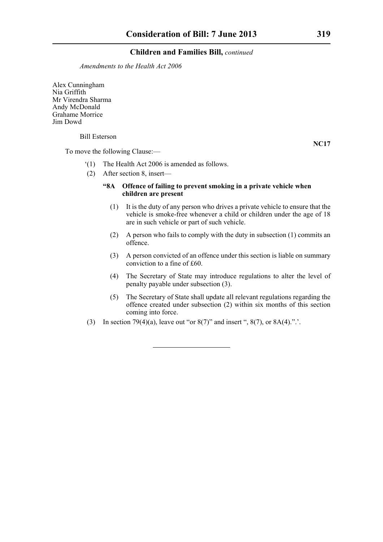*Amendments to the Health Act 2006*

Alex Cunningham Nia Griffith Mr Virendra Sharma Andy McDonald Grahame Morrice Jim Dowd

### Bill Esterson

To move the following Clause:—

- '(1) The Health Act 2006 is amended as follows.
- (2) After section 8, insert—

### **"8A Offence of failing to prevent smoking in a private vehicle when children are present**

- (1) It is the duty of any person who drives a private vehicle to ensure that the vehicle is smoke-free whenever a child or children under the age of 18 are in such vehicle or part of such vehicle.
- (2) A person who fails to comply with the duty in subsection (1) commits an offence.
- (3) A person convicted of an offence under this section is liable on summary conviction to a fine of £60.
- (4) The Secretary of State may introduce regulations to alter the level of penalty payable under subsection (3).
- (5) The Secretary of State shall update all relevant regulations regarding the offence created under subsection (2) within six months of this section coming into force.
- (3) In section 79(4)(a), leave out "or  $8(7)$ " and insert ",  $8(7)$ , or  $8A(4)$ .".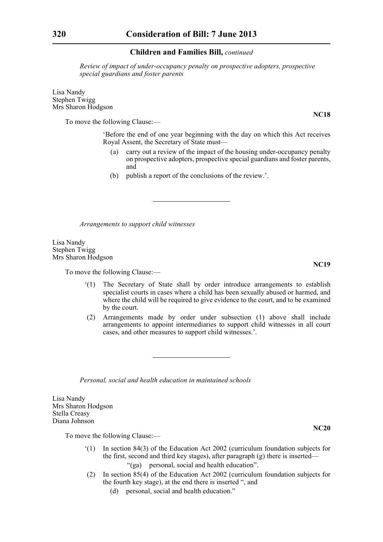*Review of impact of under-occupancy penalty on prospective adopters, prospective special guardians and foster parents*

Lisa Nandy Stephen Twigg Mrs Sharon Hodgson

To move the following Clause:—

'Before the end of one year beginning with the day on which this Act receives Royal Assent, the Secretary of State must—

- (a) carry out a review of the impact of the housing under-occupancy penalty on prospective adopters, prospective special guardians and foster parents, and
- (b) publish a report of the conclusions of the review.'.

*Arrangements to support child witnesses*

Lisa Nandy Stephen Twigg Mrs Sharon Hodgson

To move the following Clause:—

- '(1) The Secretary of State shall by order introduce arrangements to establish specialist courts in cases where a child has been sexually abused or harmed, and where the child will be required to give evidence to the court, and to be examined by the court.
- (2) Arrangements made by order under subsection (1) above shall include arrangements to appoint intermediaries to support child witnesses in all court cases, and other measures to support child witnesses.'.

*Personal, social and health education in maintained schools*

Lisa Nandy Mrs Sharon Hodgson Stella Creasy Diana Johnson

To move the following Clause:—

- '(1) In section 84(3) of the Education Act 2002 (curriculum foundation subjects for the first, second and third key stages), after paragraph (g) there is inserted— "(ga) personal, social and health education".
- (2) In section 85(4) of the Education Act 2002 (curriculum foundation subjects for the fourth key stage), at the end there is inserted ", and
	- (d) personal, social and health education."

**NC18**

**NC19**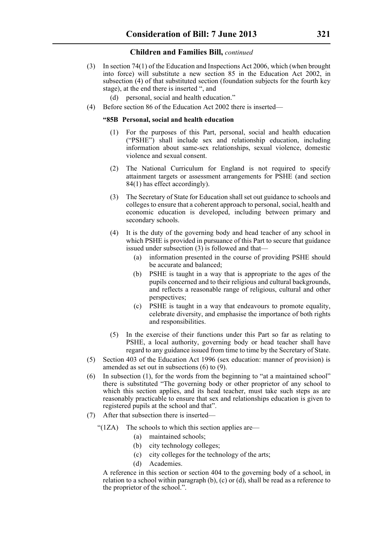- (3) In section 74(1) of the Education and Inspections Act 2006, which (when brought into force) will substitute a new section 85 in the Education Act 2002, in subsection (4) of that substituted section (foundation subjects for the fourth key stage), at the end there is inserted ", and
	- (d) personal, social and health education."
- (4) Before section 86 of the Education Act 2002 there is inserted—

### **"85B Personal, social and health education**

- (1) For the purposes of this Part, personal, social and health education ("PSHE") shall include sex and relationship education, including information about same-sex relationships, sexual violence, domestic violence and sexual consent.
- (2) The National Curriculum for England is not required to specify attainment targets or assessment arrangements for PSHE (and section 84(1) has effect accordingly).
- (3) The Secretary of State for Education shall set out guidance to schools and colleges to ensure that a coherent approach to personal, social, health and economic education is developed, including between primary and secondary schools.
- (4) It is the duty of the governing body and head teacher of any school in which PSHE is provided in pursuance of this Part to secure that guidance issued under subsection (3) is followed and that—
	- (a) information presented in the course of providing PSHE should be accurate and balanced;
	- (b) PSHE is taught in a way that is appropriate to the ages of the pupils concerned and to their religious and cultural backgrounds, and reflects a reasonable range of religious, cultural and other perspectives;
	- (c) PSHE is taught in a way that endeavours to promote equality, celebrate diversity, and emphasise the importance of both rights and responsibilities.
- (5) In the exercise of their functions under this Part so far as relating to PSHE, a local authority, governing body or head teacher shall have regard to any guidance issued from time to time by the Secretary of State.
- (5) Section 403 of the Education Act 1996 (sex education: manner of provision) is amended as set out in subsections  $(6)$  to  $(9)$ .
- (6) In subsection (1), for the words from the beginning to "at a maintained school" there is substituted "The governing body or other proprietor of any school to which this section applies, and its head teacher, must take such steps as are reasonably practicable to ensure that sex and relationships education is given to registered pupils at the school and that".
- (7) After that subsection there is inserted—
	- " $(1ZA)$  The schools to which this section applies are—
		- (a) maintained schools;
		- (b) city technology colleges;
		- (c) city colleges for the technology of the arts;
		- (d) Academies.

A reference in this section or section 404 to the governing body of a school, in relation to a school within paragraph (b), (c) or (d), shall be read as a reference to the proprietor of the school.".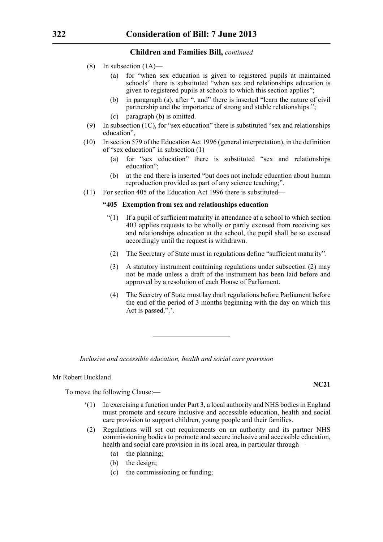- (8) In subsection (1A)—
	- (a) for "when sex education is given to registered pupils at maintained schools" there is substituted "when sex and relationships education is given to registered pupils at schools to which this section applies";
	- (b) in paragraph (a), after ", and" there is inserted "learn the nature of civil partnership and the importance of strong and stable relationships.";
	- (c) paragraph (b) is omitted.
- (9) In subsection (1C), for "sex education" there is substituted "sex and relationships education",
- (10) In section 579 of the Education Act 1996 (general interpretation), in the definition of "sex education" in subsection (1)—
	- (a) for "sex education" there is substituted "sex and relationships education";
	- (b) at the end there is inserted "but does not include education about human reproduction provided as part of any science teaching;".
- (11) For section 405 of the Education Act 1996 there is substituted—

### **"405 Exemption from sex and relationships education**

- "(1) If a pupil of sufficient maturity in attendance at a school to which section 403 applies requests to be wholly or partly excused from receiving sex and relationships education at the school, the pupil shall be so excused accordingly until the request is withdrawn.
- (2) The Secretary of State must in regulations define "sufficient maturity".
- (3) A statutory instrument containing regulations under subsection (2) may not be made unless a draft of the instrument has been laid before and approved by a resolution of each House of Parliament.
- (4) The Secretry of State must lay draft regulations before Parliament before the end of the period of 3 months beginning with the day on which this Act is passed.".'.

*Inclusive and accessible education, health and social care provision*

### Mr Robert Buckland

To move the following Clause:—

- '(1) In exercising a function under Part 3, a local authority and NHS bodies in England must promote and secure inclusive and accessible education, health and social care provision to support children, young people and their families.
- (2) Regulations will set out requirements on an authority and its partner NHS commissioning bodies to promote and secure inclusive and accessible education, health and social care provision in its local area, in particular through—
	- (a) the planning;
	- (b) the design;
	- (c) the commissioning or funding;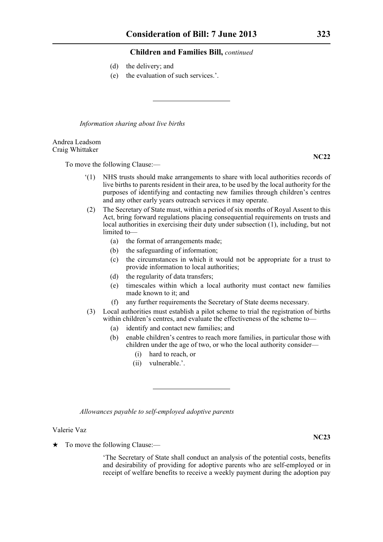- (d) the delivery; and
- (e) the evaluation of such services.'.

*Information sharing about live births*

### Andrea Leadsom Craig Whittaker

To move the following Clause:—

- '(1) NHS trusts should make arrangements to share with local authorities records of live births to parents resident in their area, to be used by the local authority for the purposes of identifying and contacting new families through children's centres and any other early years outreach services it may operate.
- (2) The Secretary of State must, within a period of six months of Royal Assent to this Act, bring forward regulations placing consequential requirements on trusts and local authorities in exercising their duty under subsection (1), including, but not limited to—
	- (a) the format of arrangements made;
	- (b) the safeguarding of information;
	- (c) the circumstances in which it would not be appropriate for a trust to provide information to local authorities;
	- (d) the regularity of data transfers;
	- (e) timescales within which a local authority must contact new families made known to it; and
	- (f) any further requirements the Secretary of State deems necessary.
- (3) Local authorities must establish a pilot scheme to trial the registration of births within children's centres, and evaluate the effectiveness of the scheme to—
	- (a) identify and contact new families; and
	- (b) enable children's centres to reach more families, in particular those with children under the age of two, or who the local authority consider—
		- (i) hard to reach, or
		- (ii) vulnerable.'.

*Allowances payable to self-employed adoptive parents*

### Valerie Vaz

 $\star$  To move the following Clause:—

'The Secretary of State shall conduct an analysis of the potential costs, benefits and desirability of providing for adoptive parents who are self-employed or in receipt of welfare benefits to receive a weekly payment during the adoption pay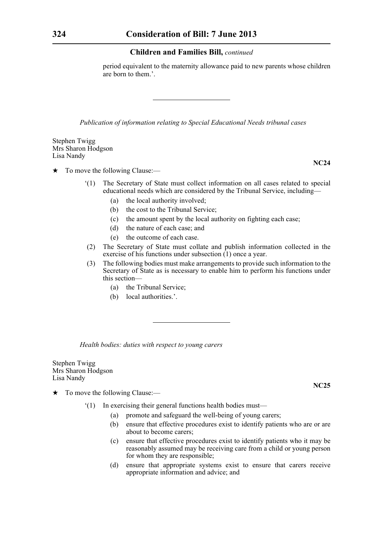period equivalent to the maternity allowance paid to new parents whose children are born to them.'.

*Publication of information relating to Special Educational Needs tribunal cases*

Stephen Twigg Mrs Sharon Hodgson Lisa Nandy

 $\star$  To move the following Clause:—

- '(1) The Secretary of State must collect information on all cases related to special educational needs which are considered by the Tribunal Service, including—
	- (a) the local authority involved;
	- (b) the cost to the Tribunal Service;
	- (c) the amount spent by the local authority on fighting each case;
	- (d) the nature of each case; and
	- (e) the outcome of each case.
- (2) The Secretary of State must collate and publish information collected in the exercise of his functions under subsection (1) once a year.
- (3) The following bodies must make arrangements to provide such information to the Secretary of State as is necessary to enable him to perform his functions under this section—
	- (a) the Tribunal Service;
	- (b) local authorities.'.

*Health bodies: duties with respect to young carers*

Stephen Twigg Mrs Sharon Hodgson Lisa Nandy

- $\star$  To move the following Clause:—
	- '(1) In exercising their general functions health bodies must—
		- (a) promote and safeguard the well-being of young carers;
		- (b) ensure that effective procedures exist to identify patients who are or are about to become carers;
		- (c) ensure that effective procedures exist to identify patients who it may be reasonably assumed may be receiving care from a child or young person for whom they are responsible;
		- (d) ensure that appropriate systems exist to ensure that carers receive appropriate information and advice; and

**NC25**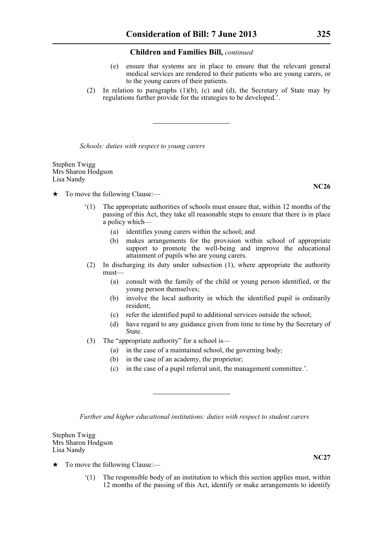- (e) ensure that systems are in place to ensure that the relevant general medical services are rendered to their patients who are young carers, or to the young carers of their patients.
- (2) In relation to paragraphs (1)(b), (c) and (d), the Secretary of State may by regulations further provide for the strategies to be developed.'.

*Schools: duties with respect to young carers*

Stephen Twigg Mrs Sharon Hodgson Lisa Nandy

- $\star$  To move the following Clause:—
	- '(1) The appropriate authorities of schools must ensure that, within 12 months of the passing of this Act, they take all reasonable steps to ensure that there is in place a policy which—
		- (a) identifies young carers within the school; and
		- (b) makes arrangements for the provision within school of appropriate support to promote the well-being and improve the educational attainment of pupils who are young carers.
	- (2) In discharging its duty under subsection (1), where appropriate the authority must—
		- (a) consult with the family of the child or young person identified, or the young person themselves;
		- (b) involve the local authority in which the identified pupil is ordinarily resident;
		- (c) refer the identified pupil to additional services outside the school;
		- (d) have regard to any guidance given from time to time by the Secretary of State.
	- (3) The "appropriate authority" for a school is—
		- (a) in the case of a maintained school, the governing body;
		- (b) in the case of an academy, the proprietor;
		- (c) in the case of a pupil referral unit, the management committee.'.

*Further and higher educational institutions: duties with respect to student carers*

Stephen Twigg Mrs Sharon Hodgson Lisa Nandy

- $\star$  To move the following Clause:—
	- '(1) The responsible body of an institution to which this section applies must, within 12 months of the passing of this Act, identify or make arrangements to identify

**NC26**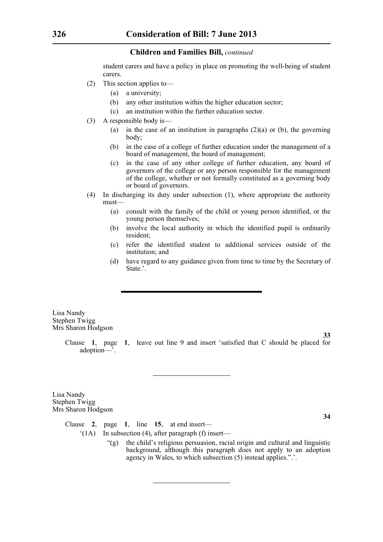student carers and have a policy in place on promoting the well-being of student carers.

- (2) This section applies to—
	- (a) a university;
	- (b) any other institution within the higher education sector;
	- (c) an institution within the further education sector.
- (3) A responsible body is—
	- (a) in the case of an institution in paragraphs  $(2)(a)$  or (b), the governing body;
	- (b) in the case of a college of further education under the management of a board of management, the board of management;
	- (c) in the case of any other college of further education, any board of governors of the college or any person responsible for the management of the college, whether or not formally constituted as a governing body or board of governors.
- (4) In discharging its duty under subsection (1), where appropriate the authority must—
	- (a) consult with the family of the child or young person identified, or the young person themselves;
	- (b) involve the local authority in which the identified pupil is ordinarily resident;
	- (c) refer the identified student to additional services outside of the institution; and
	- (d) have regard to any guidance given from time to time by the Secretary of State.'.

Lisa Nandy Stephen Twigg Mrs Sharon Hodgson

> Clause **1**, page **1**, leave out line 9 and insert 'satisfied that C should be placed for adoption—'.

Lisa Nandy Stephen Twigg Mrs Sharon Hodgson

**34**

**33**

Clause **2**, page **1**, line **15**, at end insert—

- '(1A) In subsection (4), after paragraph (f) insert—
	- "(g) the child's religious persuasion, racial origin and cultural and linguistic background, although this paragraph does not apply to an adoption agency in Wales, to which subsection (5) instead applies.".'.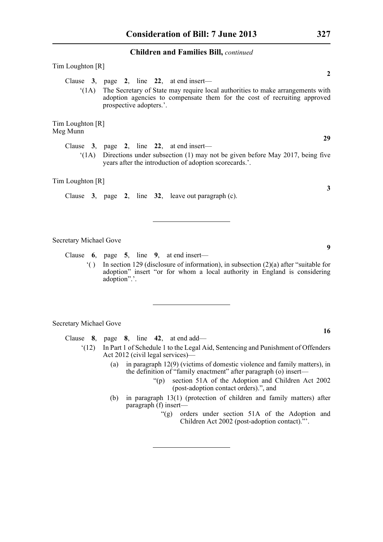| Tim Loughton [R]              |                                                                                                                                                                                                                                                        |
|-------------------------------|--------------------------------------------------------------------------------------------------------------------------------------------------------------------------------------------------------------------------------------------------------|
| $^{\circ}$ (1A)               | $\boldsymbol{2}$<br>Clause 3, page 2, line 22, at end insert—<br>The Secretary of State may require local authorities to make arrangements with<br>adoption agencies to compensate them for the cost of recruiting approved<br>prospective adopters.'. |
| Tim Loughton [R]<br>Meg Munn  |                                                                                                                                                                                                                                                        |
|                               | 29<br>Clause $3$ , page 2, line 22, at end insert—                                                                                                                                                                                                     |
| (1A)                          | Directions under subsection (1) may not be given before May 2017, being five<br>years after the introduction of adoption scorecards.'.                                                                                                                 |
| Tim Loughton [R]              |                                                                                                                                                                                                                                                        |
|                               | 3<br>Clause $3$ , page $2$ , line $32$ , leave out paragraph (c).                                                                                                                                                                                      |
| <b>Secretary Michael Gove</b> |                                                                                                                                                                                                                                                        |
|                               | 9<br>Clause $6$ , page $5$ , line $9$ , at end insert—                                                                                                                                                                                                 |
| $\hat{a}$                     | In section 129 (disclosure of information), in subsection $(2)(a)$ after "suitable for<br>adoption" insert "or for whom a local authority in England is considering<br>adoption".'.                                                                    |
|                               |                                                                                                                                                                                                                                                        |
| <b>Secretary Michael Gove</b> |                                                                                                                                                                                                                                                        |
|                               | 16<br>Clause $8$ , page $8$ , line $42$ , at end add—                                                                                                                                                                                                  |
| (12)                          | In Part 1 of Schedule 1 to the Legal Aid, Sentencing and Punishment of Offenders<br>Act 2012 (civil legal services)—                                                                                                                                   |
|                               | (a) in paragraph $12(9)$ (victims of domestic violence and family matters), in                                                                                                                                                                         |

- the definition of "family enactment" after paragraph (o) insert—
	- "(p) section 51A of the Adoption and Children Act 2002 (post-adoption contact orders).", and
- (b) in paragraph 13(1) (protection of children and family matters) after paragraph (f) insert—
	- "(g) orders under section 51A of the Adoption and Children Act 2002 (post-adoption contact)."'.

**3**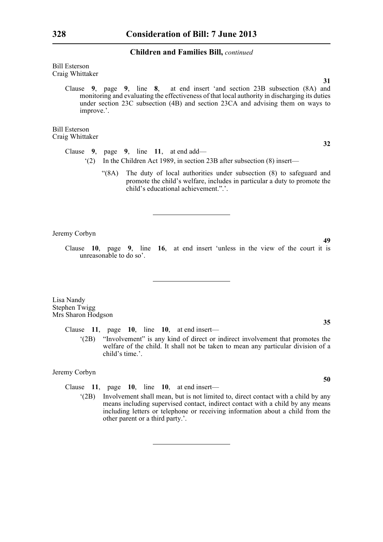Bill Esterson Craig Whittaker

**31** Clause **9**, page **9**, line **8**, at end insert 'and section 23B subsection (8A) and monitoring and evaluating the effectiveness of that local authority in discharging its duties under section 23C subsection (4B) and section 23CA and advising them on ways to improve.'.

Bill Esterson Craig Whittaker

**32**

- Clause **9**, page **9**, line **11**, at end add— '(2) In the Children Act 1989, in section 23B after subsection (8) insert—
	- "(8A) The duty of local authorities under subsection (8) to safeguard and promote the child's welfare, includes in particular a duty to promote the child's educational achievement.".'.

Jeremy Corbyn

**49**

**35**

**50**

Clause **10**, page **9**, line **16**, at end insert 'unless in the view of the court it is unreasonable to do so'.

Lisa Nandy Stephen Twigg Mrs Sharon Hodgson

Clause **11**, page **10**, line **10**, at end insert—

'(2B) "Involvement" is any kind of direct or indirect involvement that promotes the welfare of the child. It shall not be taken to mean any particular division of a child's time.'.

Jeremy Corbyn

Clause **11**, page **10**, line **10**, at end insert—

'(2B) Involvement shall mean, but is not limited to, direct contact with a child by any means including supervised contact, indirect contact with a child by any means including letters or telephone or receiving information about a child from the other parent or a third party.'.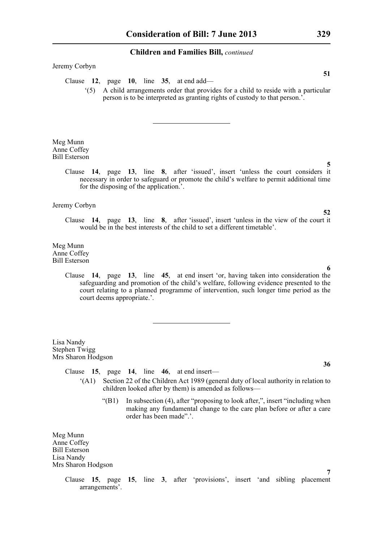### Jeremy Corbyn

- Clause **12**, page **10**, line **35**, at end add—
	- '(5) A child arrangements order that provides for a child to reside with a particular person is to be interpreted as granting rights of custody to that person.'.

Meg Munn Anne Coffey Bill Esterson

> Clause **14**, page **13**, line **8**, after 'issued', insert 'unless the court considers it necessary in order to safeguard or promote the child's welfare to permit additional time for the disposing of the application.'.

Jeremy Corbyn

Clause **14**, page **13**, line **8**, after 'issued', insert 'unless in the view of the court it would be in the best interests of the child to set a different timetable'.

Meg Munn Anne Coffey Bill Esterson

> Clause **14**, page **13**, line **45**, at end insert 'or, having taken into consideration the safeguarding and promotion of the child's welfare, following evidence presented to the court relating to a planned programme of intervention, such longer time period as the court deems appropriate.'.

Lisa Nandy Stephen Twigg Mrs Sharon Hodgson

Clause **15**, page **14**, line **46**, at end insert—

- '(A1) Section 22 of the Children Act 1989 (general duty of local authority in relation to children looked after by them) is amended as follows—
	- "(B1) In subsection (4), after "proposing to look after,", insert "including when making any fundamental change to the care plan before or after a care order has been made".'.

Meg Munn Anne Coffey Bill Esterson Lisa Nandy Mrs Sharon Hodgson

> Clause **15**, page **15**, line **3**, after 'provisions', insert 'and sibling placement arrangements'.

**51**

# **52**

**5**

### **6**

### **36**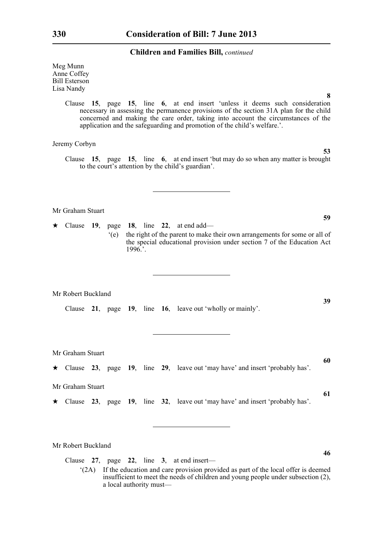Meg Munn Anne Coffey Bill Esterson Lisa Nandy

> Clause **15**, page **15**, line **6**, at end insert 'unless it deems such consideration necessary in assessing the permanence provisions of the section 31A plan for the child concerned and making the care order, taking into account the circumstances of the application and the safeguarding and promotion of the child's welfare.'.

Jeremy Corbyn

Clause **15**, page **15**, line **6**, at end insert 'but may do so when any matter is brought to the court's attention by the child's guardian'.

Mr Graham Stuart

\* Clause **19**, page **18**, line **22**, at end add— '(e) the right of the parent to make their own arrangements for some or all of the special educational provision under section 7 of the Education Act  $1996$ .

Mr Robert Buckland

Clause **21**, page **19**, line **16**, leave out 'wholly or mainly'.

Mr Graham Stuart

\* Clause **23**, page **19**, line **29**, leave out 'may have' and insert 'probably has'.

Mr Graham Stuart

\* Clause **23**, page **19**, line **32**, leave out 'may have' and insert 'probably has'.

Mr Robert Buckland

Clause **27**, page **22**, line **3**, at end insert—

'(2A) If the education and care provision provided as part of the local offer is deemed insufficient to meet the needs of children and young people under subsection (2), a local authority must—

**59**

**8**

**53**

**39**

**61**

**46**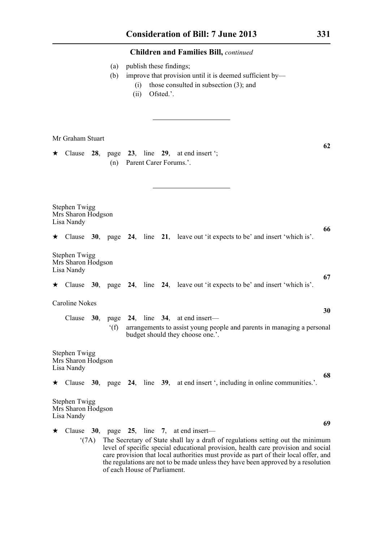|                                                          |                                                                                                                                                                                                                                                                                                                                                                                                      |  | (a)<br>(b)     | (i)<br>(ii) |  | Ofsted.'. | publish these findings;<br>improve that provision until it is deemed sufficient by-<br>those consulted in subsection $(3)$ ; and |                                                                                          |    |  |
|----------------------------------------------------------|------------------------------------------------------------------------------------------------------------------------------------------------------------------------------------------------------------------------------------------------------------------------------------------------------------------------------------------------------------------------------------------------------|--|----------------|-------------|--|-----------|----------------------------------------------------------------------------------------------------------------------------------|------------------------------------------------------------------------------------------|----|--|
| ★                                                        | Mr Graham Stuart                                                                                                                                                                                                                                                                                                                                                                                     |  | (n)            |             |  |           | Clause $28$ , page $23$ , line $29$ , at end insert ';<br>Parent Carer Forums.'.                                                 |                                                                                          | 62 |  |
| <b>Stephen Twigg</b><br>Mrs Sharon Hodgson<br>Lisa Nandy |                                                                                                                                                                                                                                                                                                                                                                                                      |  |                |             |  |           |                                                                                                                                  |                                                                                          | 66 |  |
|                                                          |                                                                                                                                                                                                                                                                                                                                                                                                      |  |                |             |  |           |                                                                                                                                  | $\star$ Clause 30, page 24, line 21, leave out 'it expects to be' and insert 'which is'. |    |  |
|                                                          | Stephen Twigg<br>Mrs Sharon Hodgson<br>Lisa Nandy                                                                                                                                                                                                                                                                                                                                                    |  |                |             |  |           |                                                                                                                                  |                                                                                          | 67 |  |
|                                                          |                                                                                                                                                                                                                                                                                                                                                                                                      |  |                |             |  |           |                                                                                                                                  | $\star$ Clause 30, page 24, line 24, leave out 'it expects to be' and insert 'which is'. |    |  |
|                                                          | <b>Caroline Nokes</b>                                                                                                                                                                                                                                                                                                                                                                                |  |                |             |  |           |                                                                                                                                  |                                                                                          |    |  |
|                                                          |                                                                                                                                                                                                                                                                                                                                                                                                      |  |                |             |  |           | Clause $30$ , page $24$ , line $34$ , at end insert—                                                                             |                                                                                          | 30 |  |
|                                                          |                                                                                                                                                                                                                                                                                                                                                                                                      |  | $^{\circ}$ (f) |             |  |           | budget should they choose one.'.                                                                                                 | arrangements to assist young people and parents in managing a personal                   |    |  |
|                                                          | Stephen Twigg<br>Mrs Sharon Hodgson<br>Lisa Nandy<br>68                                                                                                                                                                                                                                                                                                                                              |  |                |             |  |           |                                                                                                                                  |                                                                                          |    |  |
| $\star$                                                  |                                                                                                                                                                                                                                                                                                                                                                                                      |  |                |             |  |           |                                                                                                                                  | Clause 30, page 24, line 39, at end insert ', including in online communities.'.         |    |  |
|                                                          | Stephen Twigg<br>Mrs Sharon Hodgson<br>Lisa Nandy                                                                                                                                                                                                                                                                                                                                                    |  |                |             |  |           |                                                                                                                                  |                                                                                          |    |  |
| $\star$                                                  |                                                                                                                                                                                                                                                                                                                                                                                                      |  |                |             |  |           | Clause 30, page 25, line 7, at end insert—                                                                                       |                                                                                          | 69 |  |
|                                                          | The Secretary of State shall lay a draft of regulations setting out the minimum<br>$^{\circ}$ (7A)<br>level of specific special educational provision, health care provision and social<br>care provision that local authorities must provide as part of their local offer, and<br>the regulations are not to be made unless they have been approved by a resolution<br>of each House of Parliament. |  |                |             |  |           |                                                                                                                                  |                                                                                          |    |  |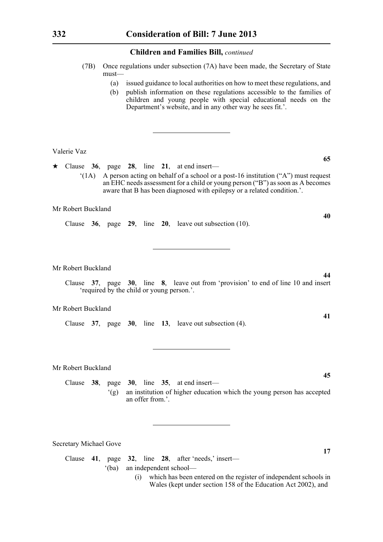- (7B) Once regulations under subsection (7A) have been made, the Secretary of State must—
	- (a) issued guidance to local authorities on how to meet these regulations, and
	- (b) publish information on these regulations accessible to the families of children and young people with special educational needs on the Department's website, and in any other way he sees fit.'.

Valerie Vaz

 $\star$  Clause 36, page 28, line 21, at end insert—

 $'(1A)$  A person acting on behalf of a school or a post-16 institution  $(4)$ <sup>"</sup>) must request an EHC needs assessment for a child or young person ("B") as soon as A becomes aware that B has been diagnosed with epilepsy or a related condition.'.

### Mr Robert Buckland

Clause **36**, page **29**, line **20**, leave out subsection (10).

Mr Robert Buckland

Clause **37**, page **30**, line **8**, leave out from 'provision' to end of line 10 and insert 'required by the child or young person.'.

Mr Robert Buckland

Clause **37**, page **30**, line **13**, leave out subsection (4).

Mr Robert Buckland

Clause **38**, page **30**, line **35**, at end insert— '(g) an institution of higher education which the young person has accepted an offer from '

Secretary Michael Gove

Clause **41**, page **32**, line **28**, after 'needs,' insert— '(ba) an independent school—

> (i) which has been entered on the register of independent schools in Wales (kept under section 158 of the Education Act 2002), and

**65**

**40**

**44**

**41**

**45**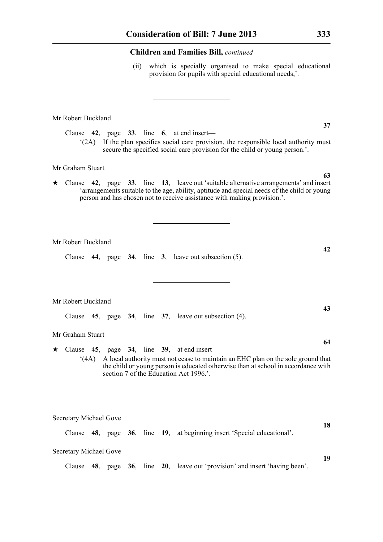(ii) which is specially organised to make special educational provision for pupils with special educational needs,'.

### Mr Robert Buckland

Clause **42**, page **33**, line **6**, at end insert— '(2A) If the plan specifies social care provision, the responsible local authority must secure the specified social care provision for the child or young person.'.

### Mr Graham Stuart

\* Clause **42**, page **33**, line **13**, leave out 'suitable alternative arrangements' and insert 'arrangements suitable to the age, ability, aptitude and special needs of the child or young person and has chosen not to receive assistance with making provision.'.

Mr Robert Buckland

Clause **44**, page **34**, line **3**, leave out subsection (5).

Mr Robert Buckland

Clause **45**, page **34**, line **37**, leave out subsection (4).

### Mr Graham Stuart

 $\star$  Clause 45, page 34, line 39, at end insert— '(4A) A local authority must not cease to maintain an EHC plan on the sole ground that the child or young person is educated otherwise than at school in accordance with section 7 of the Education Act 1996.'.

Secretary Michael Gove

Clause **48**, page **36**, line **19**, at beginning insert 'Special educational'.

Secretary Michael Gove

Clause **48**, page **36**, line **20**, leave out 'provision' and insert 'having been'.

**63**

**37**

**42**

**43**

**64**

**18**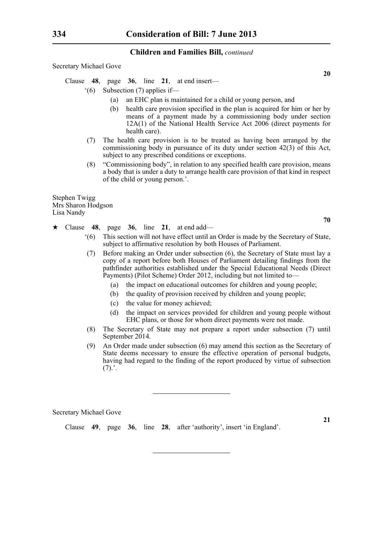Secretary Michael Gove

Clause **48**, page **36**, line **21**, at end insert—

- '(6) Subsection (7) applies if—
	- (a) an EHC plan is maintained for a child or young person, and
	- (b) health care provision specified in the plan is acquired for him or her by means of a payment made by a commissioning body under section 12A(1) of the National Health Service Act 2006 (direct payments for health care).
- (7) The health care provision is to be treated as having been arranged by the commissioning body in pursuance of its duty under section 42(3) of this Act, subject to any prescribed conditions or exceptions.
- (8) "Commissioning body", in relation to any specified health care provision, means a body that is under a duty to arrange health care provision of that kind in respect of the child or young person.'.

Stephen Twigg Mrs Sharon Hodgson Lisa Nandy

- $\star$  Clause 48, page 36, line 21, at end add—
	- '(6) This section will not have effect until an Order is made by the Secretary of State, subject to affirmative resolution by both Houses of Parliament.
	- (7) Before making an Order under subsection (6), the Secretary of State must lay a copy of a report before both Houses of Parliament detailing findings from the pathfinder authorities established under the Special Educational Needs (Direct Payments) (Pilot Scheme) Order 2012, including but not limited to—
		- (a) the impact on educational outcomes for children and young people;
		- (b) the quality of provision received by children and young people;
		- (c) the value for money achieved;
		- (d) the impact on services provided for children and young people without EHC plans, or those for whom direct payments were not made.
	- (8) The Secretary of State may not prepare a report under subsection (7) until September 2014.
	- (9) An Order made under subsection (6) may amend this section as the Secretary of State deems necessary to ensure the effective operation of personal budgets, having had regard to the finding of the report produced by virtue of subsection  $(7).'.$

Secretary Michael Gove

Clause **49**, page **36**, line **28**, after 'authority', insert 'in England'.

**21**

**20**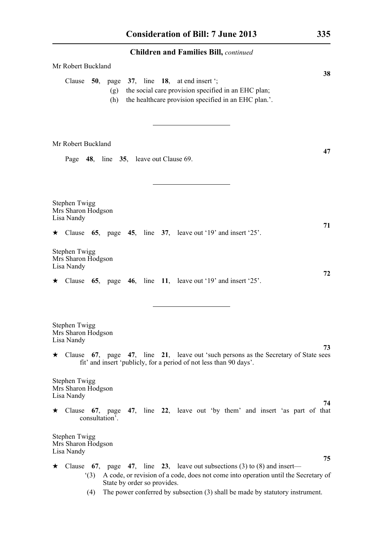| <b>Children and Families Bill, continued</b>                                                                                                                                           |  |  |  |  |  |  |  |  |  |
|----------------------------------------------------------------------------------------------------------------------------------------------------------------------------------------|--|--|--|--|--|--|--|--|--|
| Mr Robert Buckland                                                                                                                                                                     |  |  |  |  |  |  |  |  |  |
| 38<br>Clause $50$ , page $37$ , line 18, at end insert ';<br>the social care provision specified in an EHC plan;<br>(g)<br>the healthcare provision specified in an EHC plan.'.<br>(h) |  |  |  |  |  |  |  |  |  |
| Mr Robert Buckland                                                                                                                                                                     |  |  |  |  |  |  |  |  |  |
| 47<br>Page 48, line 35, leave out Clause 69.                                                                                                                                           |  |  |  |  |  |  |  |  |  |
| Stephen Twigg<br>Mrs Sharon Hodgson<br>Lisa Nandy<br>71                                                                                                                                |  |  |  |  |  |  |  |  |  |
| $\star$ Clause 65, page 45, line 37, leave out '19' and insert '25'.                                                                                                                   |  |  |  |  |  |  |  |  |  |
| <b>Stephen Twigg</b><br>Mrs Sharon Hodgson<br>Lisa Nandy                                                                                                                               |  |  |  |  |  |  |  |  |  |
| 72<br>$\star$ Clause 65, page 46, line 11, leave out '19' and insert '25'.                                                                                                             |  |  |  |  |  |  |  |  |  |
| Stephen Twigg<br>Mrs Sharon Hodgson<br>Lisa Nandy                                                                                                                                      |  |  |  |  |  |  |  |  |  |
| 73<br>$\star$ Clause 67, page 47, line 21, leave out 'such persons as the Secretary of State sees<br>fit' and insert 'publicly, for a period of not less than 90 days'.                |  |  |  |  |  |  |  |  |  |
| <b>Stephen Twigg</b><br>Mrs Sharon Hodgson<br>Lisa Nandy                                                                                                                               |  |  |  |  |  |  |  |  |  |
| 74<br>Clause 67, page 47, line 22, leave out 'by them' and insert 'as part of that<br>★.<br>consultation'.                                                                             |  |  |  |  |  |  |  |  |  |
| <b>Stephen Twigg</b><br>Mrs Sharon Hodgson<br>Lisa Nandy                                                                                                                               |  |  |  |  |  |  |  |  |  |
| 75<br>Clause 67, page 47, line 23, leave out subsections (3) to (8) and insert—<br>★                                                                                                   |  |  |  |  |  |  |  |  |  |
| A code, or revision of a code, does not come into operation until the Secretary of<br>(3)<br>State by order so provides.                                                               |  |  |  |  |  |  |  |  |  |
| The power conferred by subsection (3) shall be made by statutory instrument.<br>(4)                                                                                                    |  |  |  |  |  |  |  |  |  |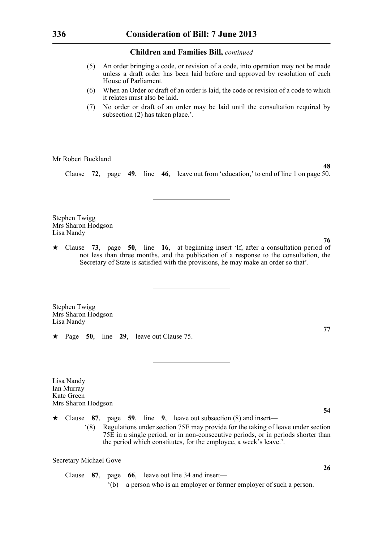- (5) An order bringing a code, or revision of a code, into operation may not be made unless a draft order has been laid before and approved by resolution of each House of Parliament.
- (6) When an Order or draft of an order is laid, the code or revision of a code to which it relates must also be laid.
- (7) No order or draft of an order may be laid until the consultation required by subsection (2) has taken place.'.

Mr Robert Buckland

Clause **72**, page **49**, line **46**, leave out from 'education,' to end of line 1 on page 50.

Stephen Twigg Mrs Sharon Hodgson Lisa Nandy

\* Clause **73**, page **50**, line **16**, at beginning insert 'If, after a consultation period of not less than three months, and the publication of a response to the consultation, the Secretary of State is satisfied with the provisions, he may make an order so that'.

Stephen Twigg Mrs Sharon Hodgson Lisa Nandy

\* Page **50**, line **29**, leave out Clause 75.

Lisa Nandy Ian Murray Kate Green Mrs Sharon Hodgson

\* Clause **87**, page **59**, line **9**, leave out subsection (8) and insert—

'(8) Regulations under section 75E may provide for the taking of leave under section 75E in a single period, or in non-consecutive periods, or in periods shorter than the period which constitutes, for the employee, a week's leave.'.

Secretary Michael Gove

Clause **87**, page **66**, leave out line 34 and insert— '(b) a person who is an employer or former employer of such a person. **76**

**48**

**77**

**54**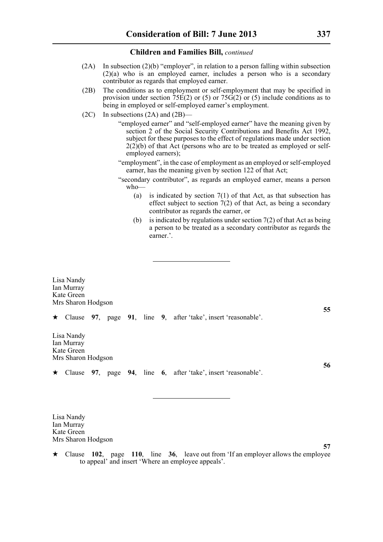- (2A) In subsection (2)(b) "employer", in relation to a person falling within subsection (2)(a) who is an employed earner, includes a person who is a secondary contributor as regards that employed earner.
- (2B) The conditions as to employment or self-employment that may be specified in provision under section  $75E(2)$  or (5) or  $75G(2)$  or (5) include conditions as to being in employed or self-employed earner's employment.
- (2C) In subsections (2A) and (2B)—

"employed earner" and "self-employed earner" have the meaning given by section 2 of the Social Security Contributions and Benefits Act 1992, subject for these purposes to the effect of regulations made under section  $2(2)(b)$  of that Act (persons who are to be treated as employed or selfemployed earners);

- "employment", in the case of employment as an employed or self-employed earner, has the meaning given by section 122 of that Act;
- "secondary contributor", as regards an employed earner, means a person who—
	- (a) is indicated by section  $7(1)$  of that Act, as that subsection has effect subject to section 7(2) of that Act, as being a secondary contributor as regards the earner, or
	- (b) is indicated by regulations under section  $7(2)$  of that Act as being a person to be treated as a secondary contributor as regards the earner.'.

Lisa Nandy Ian Murray Kate Green Mrs Sharon Hodgson **55** \* Clause **97**, page **91**, line **9**, after 'take', insert 'reasonable'. Lisa Nandy Ian Murray Kate Green Mrs Sharon Hodgson **56** \* Clause **97**, page **94**, line **6**, after 'take', insert 'reasonable'.

Lisa Nandy Ian Murray Kate Green Mrs Sharon Hodgson

 $\star$  Clause 102, page 110, line 36, leave out from 'If an employer allows the employee to appeal' and insert 'Where an employee appeals'.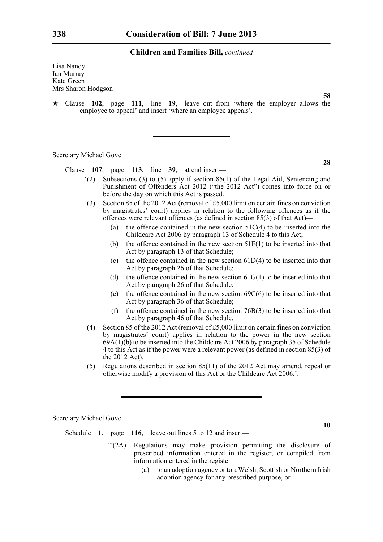Lisa Nandy Ian Murray Kate Green Mrs Sharon Hodgson

\* Clause **102**, page **111**, line **19**, leave out from 'where the employer allows the employee to appeal' and insert 'where an employee appeals'.

Secretary Michael Gove

Clause **107**, page **113**, line **39**, at end insert—

- '(2) Subsections (3) to (5) apply if section 85(1) of the Legal Aid, Sentencing and Punishment of Offenders Act 2012 ("the 2012 Act") comes into force on or before the day on which this Act is passed.
- (3) Section 85 of the 2012 Act (removal of £5,000 limit on certain fines on conviction by magistrates' court) applies in relation to the following offences as if the offences were relevant offences (as defined in section 85(3) of that Act)—
	- (a) the offence contained in the new section  $51C(4)$  to be inserted into the Childcare Act 2006 by paragraph 13 of Schedule 4 to this Act;
	- (b) the offence contained in the new section 51F(1) to be inserted into that Act by paragraph 13 of that Schedule;
	- (c) the offence contained in the new section  $61D(4)$  to be inserted into that Act by paragraph 26 of that Schedule;
	- (d) the offence contained in the new section  $61G(1)$  to be inserted into that Act by paragraph 26 of that Schedule;
	- (e) the offence contained in the new section  $69C(6)$  to be inserted into that Act by paragraph 36 of that Schedule;
	- (f) the offence contained in the new section 76B(3) to be inserted into that Act by paragraph 46 of that Schedule.
- (4) Section 85 of the 2012 Act (removal of £5,000 limit on certain fines on conviction by magistrates' court) applies in relation to the power in the new section 69A(1)(b) to be inserted into the Childcare Act 2006 by paragraph 35 of Schedule 4 to this Act as if the power were a relevant power (as defined in section 85(3) of the 2012 Act).
- (5) Regulations described in section 85(11) of the 2012 Act may amend, repeal or otherwise modify a provision of this Act or the Childcare Act 2006.'.

Secretary Michael Gove

Schedule **1**, page **116**, leave out lines 5 to 12 and insert—

- '"(2A) Regulations may make provision permitting the disclosure of prescribed information entered in the register, or compiled from information entered in the register—
	- (a) to an adoption agency or to a Welsh, Scottish or Northern Irish adoption agency for any prescribed purpose, or

**28**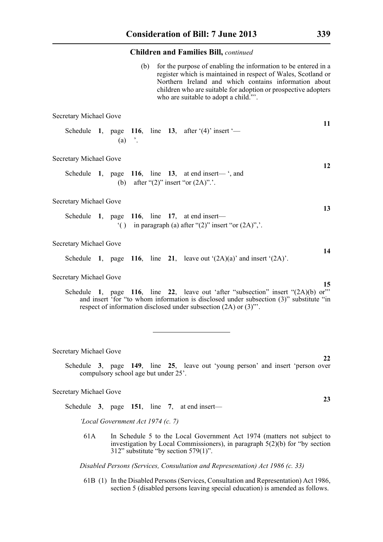|                                                                   | (b)                                     | for the purpose of enabling the information to be entered in a<br>register which is maintained in respect of Wales, Scotland or<br>Northern Ireland and which contains information about<br>children who are suitable for adoption or prospective adopters<br>who are suitable to adopt a child."". |    |
|-------------------------------------------------------------------|-----------------------------------------|-----------------------------------------------------------------------------------------------------------------------------------------------------------------------------------------------------------------------------------------------------------------------------------------------------|----|
| <b>Secretary Michael Gove</b>                                     |                                         |                                                                                                                                                                                                                                                                                                     |    |
| Schedule 1, page 116, line 13, after $(4)$ insert $-$<br>$(a)$ '. |                                         |                                                                                                                                                                                                                                                                                                     | 11 |
| <b>Secretary Michael Gove</b>                                     |                                         |                                                                                                                                                                                                                                                                                                     |    |
|                                                                   | (b) after " $(2)$ " insert "or $(2A)$ " | Schedule 1, page 116, line 13, at end insert— $\cdot$ , and                                                                                                                                                                                                                                         | 12 |
| <b>Secretary Michael Gove</b>                                     |                                         |                                                                                                                                                                                                                                                                                                     |    |
| Schedule 1, page 116, line 17, at end insert-                     |                                         | () in paragraph (a) after " $(2)$ " insert "or $(2A)$ ", ".                                                                                                                                                                                                                                         | 13 |
| <b>Secretary Michael Gove</b>                                     |                                         |                                                                                                                                                                                                                                                                                                     |    |
|                                                                   |                                         | Schedule 1, page 116, line 21, leave out $(2A)(a)$ and insert $(2A)$ .                                                                                                                                                                                                                              | 14 |
| <b>Secretary Michael Gove</b>                                     |                                         |                                                                                                                                                                                                                                                                                                     |    |
|                                                                   |                                         | Schedule 1, page 116, line 22, leave out 'after "subsection" insert "(2A)(b) or"<br>and insert 'for "to whom information is disclosed under subsection (3)" substitute "in<br>respect of information disclosed under subsection (2A) or (3)".                                                       | 15 |

Secretary Michael Gove

Schedule **3**, page **149**, line **25**, leave out 'young person' and insert 'person over compulsory school age but under 25'.

### Secretary Michael Gove

Schedule **3**, page **151**, line **7**, at end insert—

*'Local Government Act 1974 (c. 7)*

61A In Schedule 5 to the Local Government Act 1974 (matters not subject to investigation by Local Commissioners), in paragraph 5(2)(b) for "by section 312" substitute "by section 579(1)".

*Disabled Persons (Services, Consultation and Representation) Act 1986 (c. 33)*

61B (1) In the Disabled Persons (Services, Consultation and Representation) Act 1986, section 5 (disabled persons leaving special education) is amended as follows.

**23**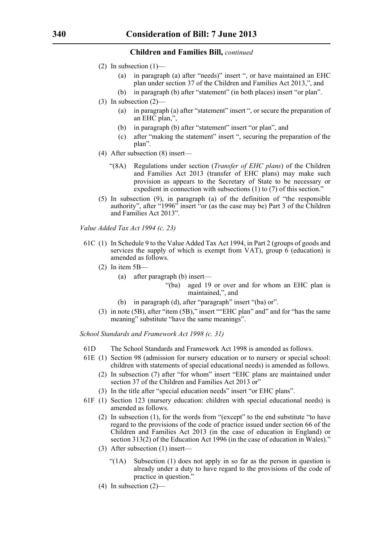- (2) In subsection  $(1)$ 
	- (a) in paragraph (a) after "needs)" insert ", or have maintained an EHC plan under section 37 of the Children and Families Act 2013,", and
	- (b) in paragraph (b) after "statement" (in both places) insert "or plan".
- (3) In subsection (2)—
	- (a) in paragraph (a) after "statement" insert ", or secure the preparation of an EHC plan,",
	- (b) in paragraph (b) after "statement" insert "or plan", and
	- (c) after "making the statement" insert ", securing the preparation of the plan".
- (4) After subsection (8) insert—
	- "(8A) Regulations under section (*Transfer of EHC plans*) of the Children and Families Act 2013 (transfer of EHC plans) may make such provision as appears to the Secretary of State to be necessary or expedient in connection with subsections (1) to (7) of this section."
- (5) In subsection (9), in paragraph (a) of the definition of "the responsible authority", after "1996" insert "or (as the case may be) Part 3 of the Children and Families Act 2013".

*Value Added Tax Act 1994 (c. 23)*

- 61C (1) In Schedule 9 to the Value Added Tax Act 1994, in Part 2 (groups of goods and services the supply of which is exempt from VAT), group  $\vec{6}$  (education) is amended as follows.
	- (2) In item 5B—
		- (a) after paragraph (b) insert—
			- "(ba) aged 19 or over and for whom an EHC plan is maintained,", and
		- (b) in paragraph (d), after "paragraph" insert "(ba) or".
	- (3) in note (5B), after "item (5B)," insert ""EHC plan" and" and for "has the same meaning" substitute "have the same meanings".

*School Standards and Framework Act 1998 (c. 31)*

- 61D The School Standards and Framework Act 1998 is amended as follows.
- 61E (1) Section 98 (admission for nursery education or to nursery or special school: children with statements of special educational needs) is amended as follows.
	- (2) In subsection (7) after "for whom" insert "EHC plans are maintained under section 37 of the Children and Families Act 2013 or"
	- (3) In the title after "special education needs" insert "or EHC plans".
- 61F (1) Section 123 (nursery education: children with special educational needs) is amended as follows.
	- (2) In subsection (1), for the words from "(except" to the end substitute "to have regard to the provisions of the code of practice issued under section 66 of the Children and Families Act 2013 (in the case of education in England) or section 313(2) of the Education Act 1996 (in the case of education in Wales)."
	- (3) After subsection (1) insert—
		- "(1A) Subsection (1) does not apply in so far as the person in question is already under a duty to have regard to the provisions of the code of practice in question."
	- (4) In subsection  $(2)$ —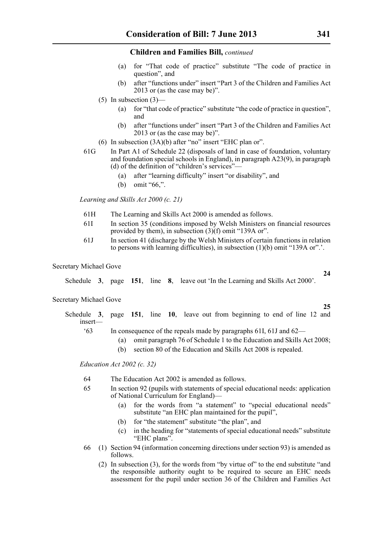- (a) for "That code of practice" substitute "The code of practice in question", and
- (b) after "functions under" insert "Part 3 of the Children and Families Act 2013 or (as the case may be)".
- $(5)$  In subsection  $(3)$ 
	- (a) for "that code of practice" substitute "the code of practice in question", and
	- (b) after "functions under" insert "Part 3 of the Children and Families Act 2013 or (as the case may be)".
- (6) In subsection (3A)(b) after "no" insert "EHC plan or".
- 61G In Part A1 of Schedule 22 (disposals of land in case of foundation, voluntary and foundation special schools in England), in paragraph A23(9), in paragraph (d) of the definition of "children's services"—
	- (a) after "learning difficulty" insert "or disability", and
	- (b) omit "66,".

*Learning and Skills Act 2000 (c. 21)*

- 61H The Learning and Skills Act 2000 is amended as follows.
- 61I In section 35 (conditions imposed by Welsh Ministers on financial resources provided by them), in subsection (3)(f) omit "139A or".
- 61J In section 41 (discharge by the Welsh Ministers of certain functions in relation to persons with learning difficulties), in subsection (1)(b) omit "139A or".'.

Secretary Michael Gove

Schedule **3**, page **151**, line **8**, leave out 'In the Learning and Skills Act 2000'.

### Secretary Michael Gove

- Schedule **3**, page **151**, line **10**, leave out from beginning to end of line 12 and insert—
	- '63 In consequence of the repeals made by paragraphs 61I, 61J and 62—
		- (a) omit paragraph 76 of Schedule 1 to the Education and Skills Act 2008;
		- (b) section 80 of the Education and Skills Act 2008 is repealed.

*Education Act 2002 (c. 32)*

- 64 The Education Act 2002 is amended as follows.
- 65 In section 92 (pupils with statements of special educational needs: application of National Curriculum for England)—
	- (a) for the words from "a statement" to "special educational needs" substitute "an EHC plan maintained for the pupil",
	- (b) for "the statement" substitute "the plan", and
	- (c) in the heading for "statements of special educational needs" substitute "EHC plans".
- 66 (1) Section 94 (information concerning directions under section 93) is amended as follows.
	- (2) In subsection (3), for the words from "by virtue of" to the end substitute "and the responsible authority ought to be required to secure an EHC needs assessment for the pupil under section 36 of the Children and Families Act

**24**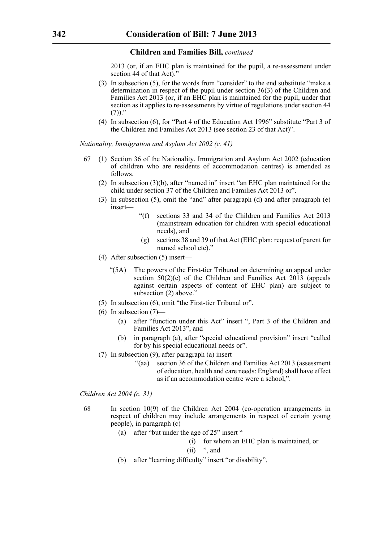2013 (or, if an EHC plan is maintained for the pupil, a re-assessment under section 44 of that Act)."

- (3) In subsection (5), for the words from "consider" to the end substitute "make a determination in respect of the pupil under section 36(3) of the Children and Families Act 2013 (or, if an EHC plan is maintained for the pupil, under that section as it applies to re-assessments by virtue of regulations under section 44  $(7)$ )."
- (4) In subsection (6), for "Part 4 of the Education Act 1996" substitute "Part 3 of the Children and Families Act 2013 (see section 23 of that Act)".

*Nationality, Immigration and Asylum Act 2002 (c. 41)*

- 67 (1) Section 36 of the Nationality, Immigration and Asylum Act 2002 (education of children who are residents of accommodation centres) is amended as follows.
	- (2) In subsection (3)(b), after "named in" insert "an EHC plan maintained for the child under section 37 of the Children and Families Act 2013 or".
	- (3) In subsection (5), omit the "and" after paragraph (d) and after paragraph (e) insert—
		- "(f) sections 33 and 34 of the Children and Families Act 2013 (mainstream education for children with special educational needs), and
		- (g) sections 38 and 39 of that Act (EHC plan: request of parent for named school etc)."
	- (4) After subsection (5) insert—
		- "(5A) The powers of the First-tier Tribunal on determining an appeal under section  $50(2)(c)$  of the Children and Families Act  $20\overline{13}$  (appeals against certain aspects of content of EHC plan) are subject to subsection (2) above."
	- (5) In subsection (6), omit "the First-tier Tribunal or".
	- $(6)$  In subsection  $(7)$ 
		- (a) after "function under this Act" insert ", Part 3 of the Children and Families Act 2013", and
		- (b) in paragraph (a), after "special educational provision" insert "called for by his special educational needs or".
	- (7) In subsection (9), after paragraph (a) insert—
		- "(aa) section 36 of the Children and Families Act 2013 (assessment of education, health and care needs: England) shall have effect as if an accommodation centre were a school,".

*Children Act 2004 (c. 31)*

- 68 In section 10(9) of the Children Act 2004 (co-operation arrangements in respect of children may include arrangements in respect of certain young people), in paragraph (c)—
	- (a) after "but under the age of 25" insert "—
		- (i) for whom an EHC plan is maintained, or

### $(ii)$  ", and

(b) after "learning difficulty" insert "or disability".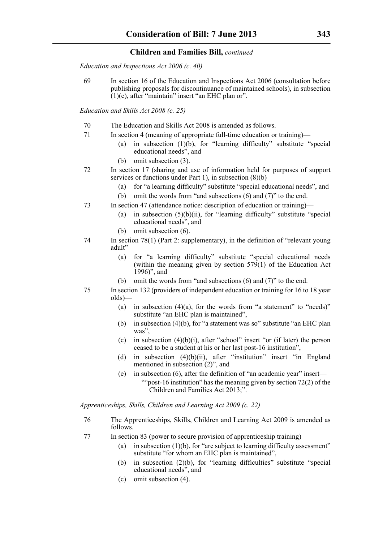*Education and Inspections Act 2006 (c. 40)*

69 In section 16 of the Education and Inspections Act 2006 (consultation before publishing proposals for discontinuance of maintained schools), in subsection  $(1)(c)$ , after "maintain" insert "an EHC plan or".

*Education and Skills Act 2008 (c. 25)*

- 70 The Education and Skills Act 2008 is amended as follows.
- 71 In section 4 (meaning of appropriate full-time education or training)—
	- (a) in subsection (1)(b), for "learning difficulty" substitute "special educational needs", and
	- (b) omit subsection (3).
- 72 In section 17 (sharing and use of information held for purposes of support services or functions under Part 1), in subsection  $(8)(b)$ —
	- (a) for "a learning difficulty" substitute "special educational needs", and
	- (b) omit the words from "and subsections (6) and (7)" to the end.
- 73 In section 47 (attendance notice: description of education or training)—
	- (a) in subsection  $(5)(b)(ii)$ , for "learning difficulty" substitute "special educational needs", and
	- (b) omit subsection (6).
- 74 In section 78(1) (Part 2: supplementary), in the definition of "relevant young adult"—
	- (a) for "a learning difficulty" substitute "special educational needs (within the meaning given by section  $579(1)$  of the Education Act 1996)", and
	- (b) omit the words from "and subsections (6) and (7)" to the end.
- 75 In section 132 (providers of independent education or training for 16 to 18 year olds)—
	- (a) in subsection  $(4)(a)$ , for the words from "a statement" to "needs)" substitute "an EHC plan is maintained",
	- (b) in subsection (4)(b), for "a statement was so" substitute "an EHC plan was".
	- (c) in subsection  $(4)(b)(i)$ , after "school" insert "or (if later) the person ceased to be a student at his or her last post-16 institution",
	- (d) in subsection  $(4)(b)(ii)$ , after "institution" insert "in England mentioned in subsection (2)", and
	- (e) in subsection (6), after the definition of "an academic year" insert— ""post-16 institution" has the meaning given by section  $72(2)$  of the Children and Families Act 2013;".

*Apprenticeships, Skills, Children and Learning Act 2009 (c. 22)*

- 76 The Apprenticeships, Skills, Children and Learning Act 2009 is amended as follows.
- 77 In section 83 (power to secure provision of apprenticeship training)—
	- (a) in subsection  $(1)(b)$ , for "are subject to learning difficulty assessment" substitute "for whom an EHC plan is maintained",
	- (b) in subsection (2)(b), for "learning difficulties" substitute "special educational needs", and
	- (c) omit subsection (4).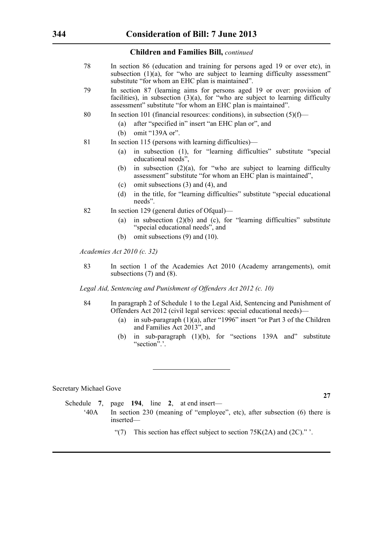- 78 In section 86 (education and training for persons aged 19 or over etc), in subsection  $(1)(a)$ , for "who are subject to learning difficulty assessment" substitute "for whom an EHC plan is maintained".
- 79 In section 87 (learning aims for persons aged 19 or over: provision of facilities), in subsection (3)(a), for "who are subject to learning difficulty assessment" substitute "for whom an EHC plan is maintained".
- 80 In section 101 (financial resources: conditions), in subsection (5)(f)—
	- (a) after "specified in" insert "an EHC plan or", and
	- (b) omit "139A or".
- 81 In section 115 (persons with learning difficulties)—
	- (a) in subsection (1), for "learning difficulties" substitute "special educational needs",
	- (b) in subsection (2)(a), for "who are subject to learning difficulty assessment" substitute "for whom an EHC plan is maintained",
	- (c) omit subsections (3) and (4), and
	- (d) in the title, for "learning difficulties" substitute "special educational needs".
- 82 In section 129 (general duties of Ofqual)—
	- (a) in subsection (2)(b) and (c), for "learning difficulties" substitute "special educational needs", and
	- (b) omit subsections (9) and (10).

*Academies Act 2010 (c. 32)*

83 In section 1 of the Academies Act 2010 (Academy arrangements), omit subsections (7) and (8).

*Legal Aid, Sentencing and Punishment of Offenders Act 2012 (c. 10)*

- 84 In paragraph 2 of Schedule 1 to the Legal Aid, Sentencing and Punishment of Offenders Act 2012 (civil legal services: special educational needs)—
	- (a) in sub-paragraph (1)(a), after "1996" insert "or Part 3 of the Children and Families Act 2013", and
	- (b) in sub-paragraph (1)(b), for "sections 139A and" substitute "section".'.

Secretary Michael Gove

Schedule **7**, page **194**, line **2**, at end insert— '40A In section 230 (meaning of "employee", etc), after subsection (6) there is inserted—

"(7) This section has effect subject to section  $75K(2A)$  and  $(2C)$ ." '.